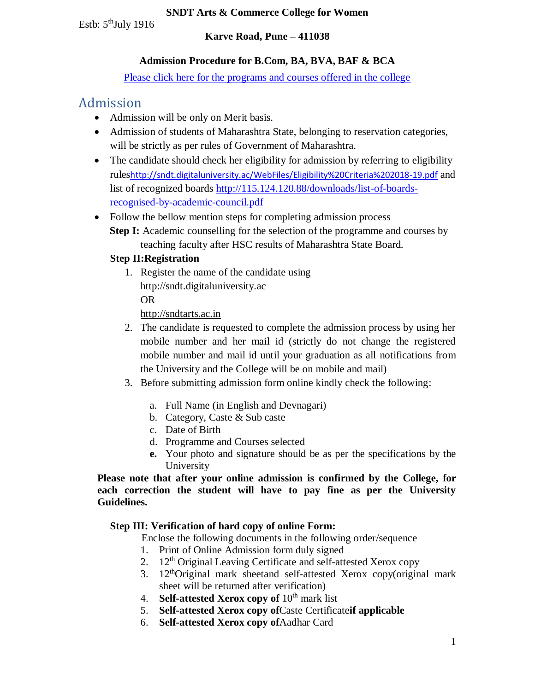#### **SNDT Arts & Commerce College for Women**

Estb:  $5<sup>th</sup>$ July 1916

### **Karve Road, Pune – 411038**

# **Admission Procedure for B.Com, BA, BVA, BAF & BCA**

[Please click here for the programs and courses offered in the college](#page-1-0)

# <span id="page-0-0"></span>Admission

- Admission will be only on Merit basis.
- Admission of students of Maharashtra State, belonging to reservation categories, will be strictly as per rules of Government of Maharashtra.
- The candidate should check her eligibility for admission by referring to eligibility rules<http://sndt.digitaluniversity.ac/WebFiles/Eligibility%20Criteria%202018-19.pdf> and list of recognized boards [http://115.124.120.88/downloads/list-of-boards](http://115.124.120.88/downloads/list-of-boards-recognised-by-academic-council.pdf)[recognised-by-academic-council.pdf](http://115.124.120.88/downloads/list-of-boards-recognised-by-academic-council.pdf)
- Follow the bellow mention steps for completing admission process **Step I:** Academic counselling for the selection of the programme and courses by teaching faculty after HSC results of Maharashtra State Board.

# **Step II:Registration**

1. Register the name of the candidate using http://sndt.digitaluniversity.ac OR

[http://sndtarts.ac.in](http://sndtarts.ac.in/)

- 2. The candidate is requested to complete the admission process by using her mobile number and her mail id (strictly do not change the registered mobile number and mail id until your graduation as all notifications from the University and the College will be on mobile and mail)
- 3. Before submitting admission form online kindly check the following:
	- a. Full Name (in English and Devnagari)
	- b. Category, Caste & Sub caste
	- c. Date of Birth
	- d. Programme and Courses selected
	- **e.** Your photo and signature should be as per the specifications by the University

**Please note that after your online admission is confirmed by the College, for each correction the student will have to pay fine as per the University Guidelines.** 

## **Step III: Verification of hard copy of online Form:**

Enclose the following documents in the following order/sequence

- 1. Print of Online Admission form duly signed
- 2.  $12<sup>th</sup>$  Original Leaving Certificate and self-attested Xerox copy
- 3.  $12<sup>th</sup>Original$  mark sheetand self-attested Xerox copy(original mark sheet will be returned after verification)
- 4. **Self-attested Xerox copy of 10<sup>th</sup> mark list**
- 5. **Self-attested Xerox copy of**Caste Certificate**if applicable**
- 6. **Self-attested Xerox copy of**Aadhar Card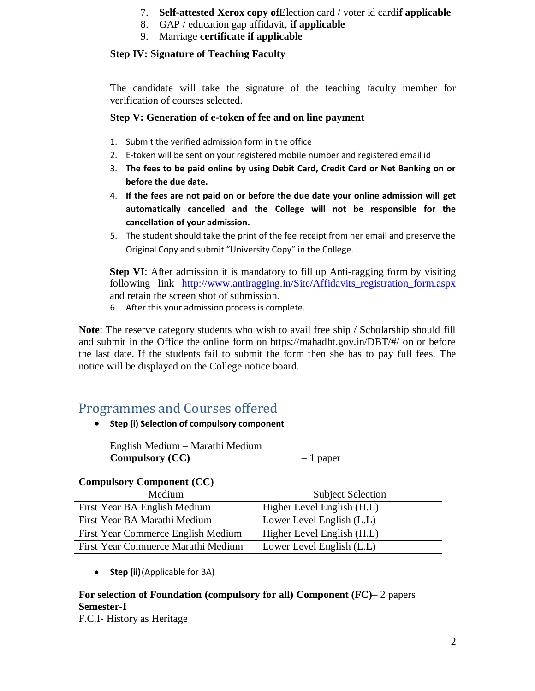- 7. **Self-attested Xerox copy of**Election card / voter id card**if applicable**
- 8. GAP / education gap affidavit, **if applicable**
- 9. Marriage **certificate if applicable**

### **Step IV: Signature of Teaching Faculty**

The candidate will take the signature of the teaching faculty member for verification of courses selected.

### **Step V: Generation of e-token of fee and on line payment**

- 1. Submit the verified admission form in the office
- 2. E-token will be sent on your registered mobile number and registered email id
- 3. **The fees to be paid online by using Debit Card, Credit Card or Net Banking on or before the due date.**
- 4. **If the fees are not paid on or before the due date your online admission will get automatically cancelled and the College will not be responsible for the cancellation of your admission.**
- 5. The student should take the print of the fee receipt from her email and preserve the Original Copy and submit "University Copy" in the College.

**Step VI**: After admission it is mandatory to fill up Anti-ragging form by visiting following link [http://www.antiragging.in/Site/Affidavits\\_registration\\_form.aspx](http://www.antiragging.in/Site/Affidavits_registration_form.aspx) and retain the screen shot of submission.

6. After this your admission process is complete.

**Note**: The reserve category students who wish to avail free ship / Scholarship should fill and submit in the Office the online form on https://mahadbt.gov.in/DBT/#/ on or before the last date. If the students fail to submit the form then she has to pay full fees. The notice will be displayed on the College notice board.

# <span id="page-1-0"></span>Programmes and Courses offered

**Step (i) Selection of compulsory component** 

English Medium – Marathi Medium **Compulsory (CC)** – 1 paper

#### **Compulsory Component (CC)**

| Medium                             | <b>Subject Selection</b>   |
|------------------------------------|----------------------------|
| First Year BA English Medium       | Higher Level English (H.L) |
| First Year BA Marathi Medium       | Lower Level English (L.L)  |
| First Year Commerce English Medium | Higher Level English (H.L) |
| First Year Commerce Marathi Medium | Lower Level English (L.L)  |

**Step (ii)**(Applicable for BA)

## **For selection of Foundation (compulsory for all) Component (FC)**– 2 papers **Semester-I**

F.C.I- History as Heritage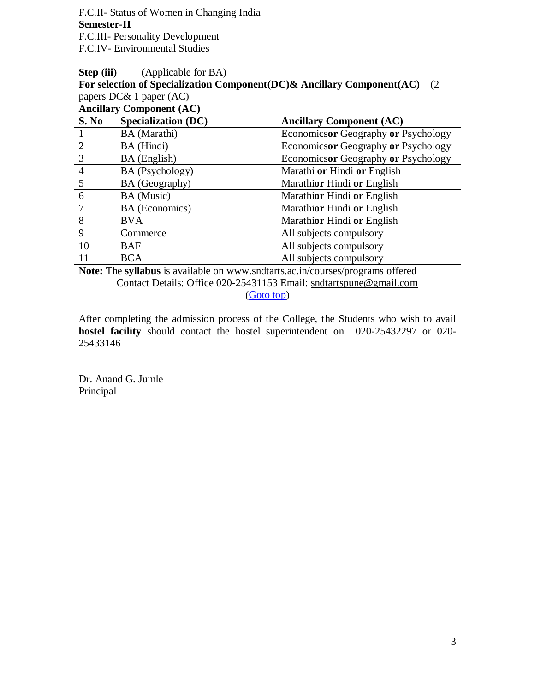F.C.II- Status of Women in Changing India **Semester-II** F.C.III- Personality Development F.C.IV- Environmental Studies

#### **Step (iii)** (Applicable for BA)

**For selection of Specialization Component(DC)& Ancillary Component(AC)**– (2 papers DC& 1 paper (AC)

**Ancillary Component (AC)**

| S. No          | <b>Specialization (DC)</b> | <b>Ancillary Component (AC)</b>     |
|----------------|----------------------------|-------------------------------------|
|                | BA (Marathi)               | Economicsor Geography or Psychology |
|                | BA (Hindi)                 | Economicsor Geography or Psychology |
| 3              | BA (English)               | Economicsor Geography or Psychology |
| $\overline{4}$ | BA (Psychology)            | Marathi or Hindi or English         |
| 5              | BA (Geography)             | Marathior Hindi or English          |
| 6              | BA (Music)                 | Marathior Hindi or English          |
|                | BA (Economics)             | Marathior Hindi or English          |
| 8              | <b>BVA</b>                 | Marathior Hindi or English          |
| 9              | Commerce                   | All subjects compulsory             |
| 10             | <b>BAF</b>                 | All subjects compulsory             |
| 11             | <b>BCA</b>                 | All subjects compulsory             |

**Note:** The **syllabus** is available on [www.sndtarts.ac.in/courses/programs](http://www.sndtarts.ac.in/courses/programs) offered Contact Details: Office 020-25431153 Email: [sndtartspune@gmail.com](mailto:sndtartspune@gmail.com) [\(Goto top\)](#page-0-0)

After completing the admission process of the College, the Students who wish to avail **hostel facility** should contact the hostel superintendent on 020-25432297 or 020- 25433146

Dr. Anand G. Jumle Principal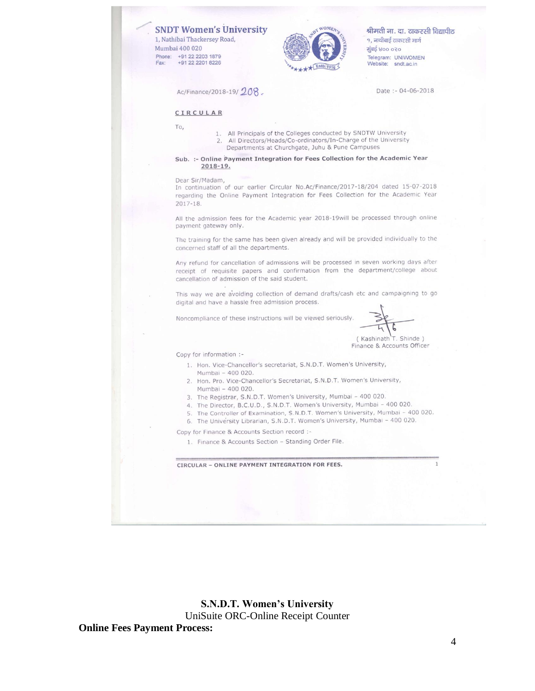**SNDT Women's University** 1, Nathibai Thackersey Road, Mumbai 400 020 Phone: +91 22 2203 1879 +91 22 2201 8226 Fax:



श्रीमती ना. दा. ठाकरसी विद्यापीठ १, नाथीबाई ठाकरसी मार्ग मुंबई ४०० ०२० Telegram: UNIWOMEN Website: sndt.ac.in

Ac/Finance/2018-19/208.

Date: - 04-06-2018

#### CIRCULAR

- To,
	- 1. All Principals of the Colleges conducted by SNDTW University All Directors/Heads/Co-ordinators/In-Charge of the University  $2.$ 
		- Departments at Churchgate, Juhu & Pune Campuses

#### Sub. :- Online Payment Integration for Fees Collection for the Academic Year  $2018 - 19.$

#### Dear Sir/Madam,

In continuation of our earlier Circular No.Ac/Finance/2017-18/204 dated 15-07-2018 regarding the Online Payment Integration for Fees Collection for the Academic Year  $2017 - 18.$ 

All the admission fees for the Academic year 2018-19 will be processed through online payment gateway only.

The training for the same has been given already and will be provided individually to the concerned staff of all the departments.

Any refund for cancellation of admissions will be processed in seven working days after receipt of requisite papers and confirmation from the department/college about cancellation of admission of the said student.

This way we are avoiding collection of demand drafts/cash etc and campaigning to go digital and have a hassle free admission process.

Noncompliance of these instructions will be viewed seriously

(Kashinath T. Shinde) Finance & Accounts Officer

Copy for information :-

- 1. Hon. Vice-Chancellor's secretariat, S.N.D.T. Women's University, Mumbai - 400 020.
- 2. Hon. Pro. Vice-Chancellor's Secretariat, S.N.D.T. Women's University, Mumbai - 400 020.
- 3. The Registrar, S.N.D.T. Women's University, Mumbai 400 020.
- 4. The Director, B.C.U.D., S.N.D.T. Women's University, Mumbai 400 020.
- 5. The Controller of Examination, S.N.D.T. Women's University, Mumbai 400 020.
- 6. The University Librarian, S.N.D.T. Women's University, Mumbai 400 020.

Copy for Finance & Accounts Section record :-

1. Finance & Accounts Section - Standing Order File.

CIRCULAR - ONLINE PAYMENT INTEGRATION FOR FEES.

**S.N.D.T. Women's University** UniSuite ORC-Online Receipt Counter **Online Fees Payment Process:**